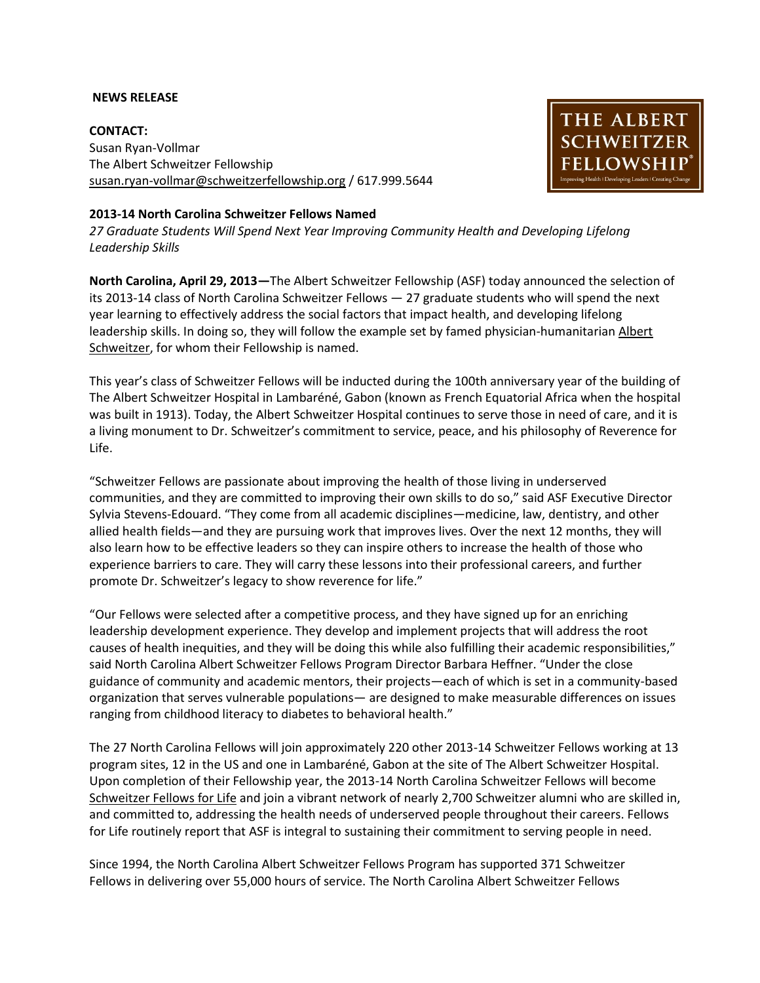### **NEWS RELEASE**

**CONTACT:** Susan Ryan-Vollmar The Albert Schweitzer Fellowship [susan.ryan-vollmar@schweitzerfellowship.org](mailto:susan.ryan-vollmar@schweitzerfellowship.org) / 617.999.5644



### **2013-14 North Carolina Schweitzer Fellows Named**

*27 Graduate Students Will Spend Next Year Improving Community Health and Developing Lifelong Leadership Skills*

**North Carolina, April 29, 2013—**The Albert Schweitzer Fellowship (ASF) today announced the selection of its 2013-14 class of North Carolina Schweitzer Fellows — 27 graduate students who will spend the next year learning to effectively address the social factors that impact health, and developing lifelong leadership skills. In doing so, they will follow the example set by famed physician-humanitarian Albert [Schweitzer,](http://www.schweitzerfellowship.org/features/about/) for whom their Fellowship is named.

This year's class of Schweitzer Fellows will be inducted during the 100th anniversary year of the building of The Albert Schweitzer Hospital in Lambaréné, Gabon (known as French Equatorial Africa when the hospital was built in 1913). Today, the Albert Schweitzer Hospital continues to serve those in need of care, and it is a living monument to Dr. Schweitzer's commitment to service, peace, and his philosophy of Reverence for Life.

"Schweitzer Fellows are passionate about improving the health of those living in underserved communities, and they are committed to improving their own skills to do so," said ASF Executive Director Sylvia Stevens-Edouard. "They come from all academic disciplines—medicine, law, dentistry, and other allied health fields—and they are pursuing work that improves lives. Over the next 12 months, they will also learn how to be effective leaders so they can inspire others to increase the health of those who experience barriers to care. They will carry these lessons into their professional careers, and further promote Dr. Schweitzer's legacy to show reverence for life."

"Our Fellows were selected after a competitive process, and they have signed up for an enriching leadership development experience. They develop and implement projects that will address the root causes of health inequities, and they will be doing this while also fulfilling their academic responsibilities," said North Carolina Albert Schweitzer Fellows Program Director Barbara Heffner. "Under the close guidance of community and academic mentors, their projects—each of which is set in a community-based organization that serves vulnerable populations— are designed to make measurable differences on issues ranging from childhood literacy to diabetes to behavioral health."

The 27 North Carolina Fellows will join approximately 220 other 2013-14 Schweitzer Fellows working at 13 program sites, 12 in the US and one in Lambaréné, Gabon at the site of The Albert Schweitzer Hospital. Upon completion of their Fellowship year, the 2013-14 North Carolina Schweitzer Fellows will become [Schweitzer Fellows for Life](http://schweitzerfellowship.org/features/fellows/) and join a vibrant network of nearly 2,700 Schweitzer alumni who are skilled in, and committed to, addressing the health needs of underserved people throughout their careers. Fellows for Life routinely report that ASF is integral to sustaining their commitment to serving people in need.

Since 1994, the North Carolina Albert Schweitzer Fellows Program has supported 371 Schweitzer Fellows in delivering over 55,000 hours of service. The North Carolina Albert Schweitzer Fellows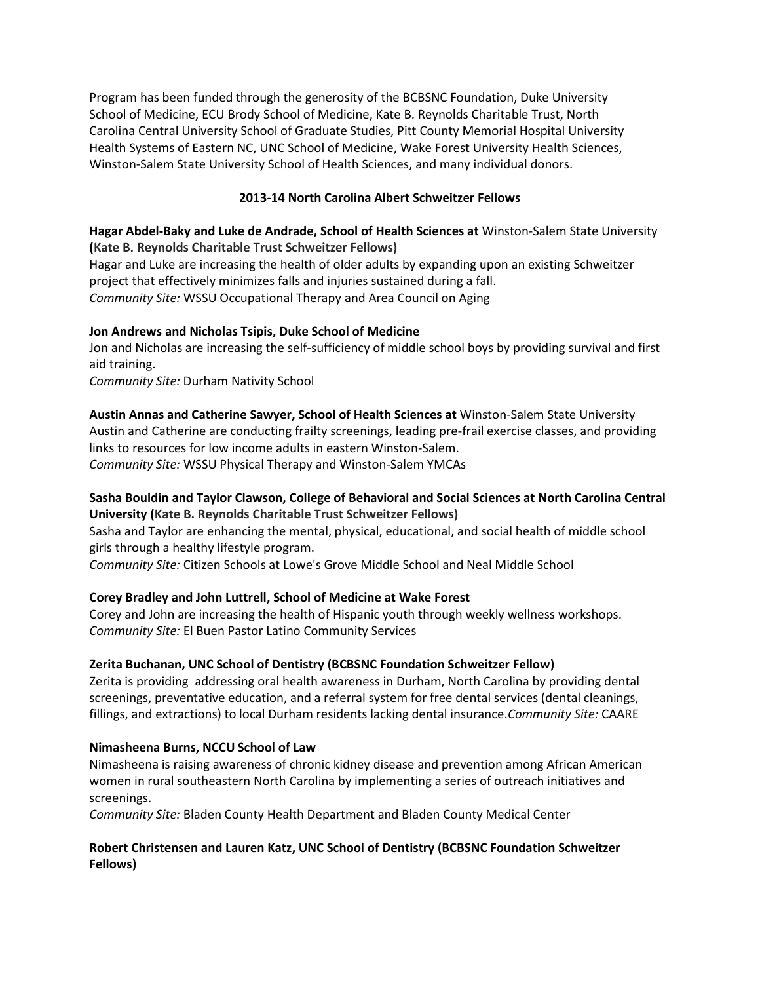Program has been funded through the generosity of the BCBSNC Foundation, Duke University School of Medicine, ECU Brody School of Medicine, Kate B. Reynolds Charitable Trust, North Carolina Central University School of Graduate Studies, Pitt County Memorial Hospital University Health Systems of Eastern NC, UNC School of Medicine, Wake Forest University Health Sciences, Winston-Salem State University School of Health Sciences, and many individual donors.

# **2013-14 North Carolina Albert Schweitzer Fellows**

# **Hagar Abdel-Baky and Luke de Andrade, School of Health Sciences at** Winston-Salem State University **(Kate B. Reynolds Charitable Trust Schweitzer Fellows)**

Hagar and Luke are increasing the health of older adults by expanding upon an existing Schweitzer project that effectively minimizes falls and injuries sustained during a fall. *Community Site:* WSSU Occupational Therapy and Area Council on Aging

# **Jon Andrews and Nicholas Tsipis, Duke School of Medicine**

Jon and Nicholas are increasing the self-sufficiency of middle school boys by providing survival and first aid training.

*Community Site:* Durham Nativity School

## **Austin Annas and Catherine Sawyer, School of Health Sciences at** Winston-Salem State University

Austin and Catherine are conducting frailty screenings, leading pre-frail exercise classes, and providing links to resources for low income adults in eastern Winston-Salem.

*Community Site:* WSSU Physical Therapy and Winston-Salem YMCAs

# **Sasha Bouldin and Taylor Clawson, College of Behavioral and Social Sciences at North Carolina Central University (Kate B. Reynolds Charitable Trust Schweitzer Fellows)**

Sasha and Taylor are enhancing the mental, physical, educational, and social health of middle school girls through a healthy lifestyle program.

*Community Site:* Citizen Schools at Lowe's Grove Middle School and Neal Middle School

# **Corey Bradley and John Luttrell, School of Medicine at Wake Forest**

Corey and John are increasing the health of Hispanic youth through weekly wellness workshops. *Community Site:* El Buen Pastor Latino Community Services

## **Zerita Buchanan, UNC School of Dentistry (BCBSNC Foundation Schweitzer Fellow)**

Zerita is providing addressing oral health awareness in Durham, North Carolina by providing dental screenings, preventative education, and a referral system for free dental services (dental cleanings, fillings, and extractions) to local Durham residents lacking dental insurance.*Community Site:* CAARE

## **Nimasheena Burns, NCCU School of Law**

Nimasheena is raising awareness of chronic kidney disease and prevention among African American women in rural southeastern North Carolina by implementing a series of outreach initiatives and screenings.

*Community Site:* Bladen County Health Department and Bladen County Medical Center

## **Robert Christensen and Lauren Katz, UNC School of Dentistry (BCBSNC Foundation Schweitzer Fellows)**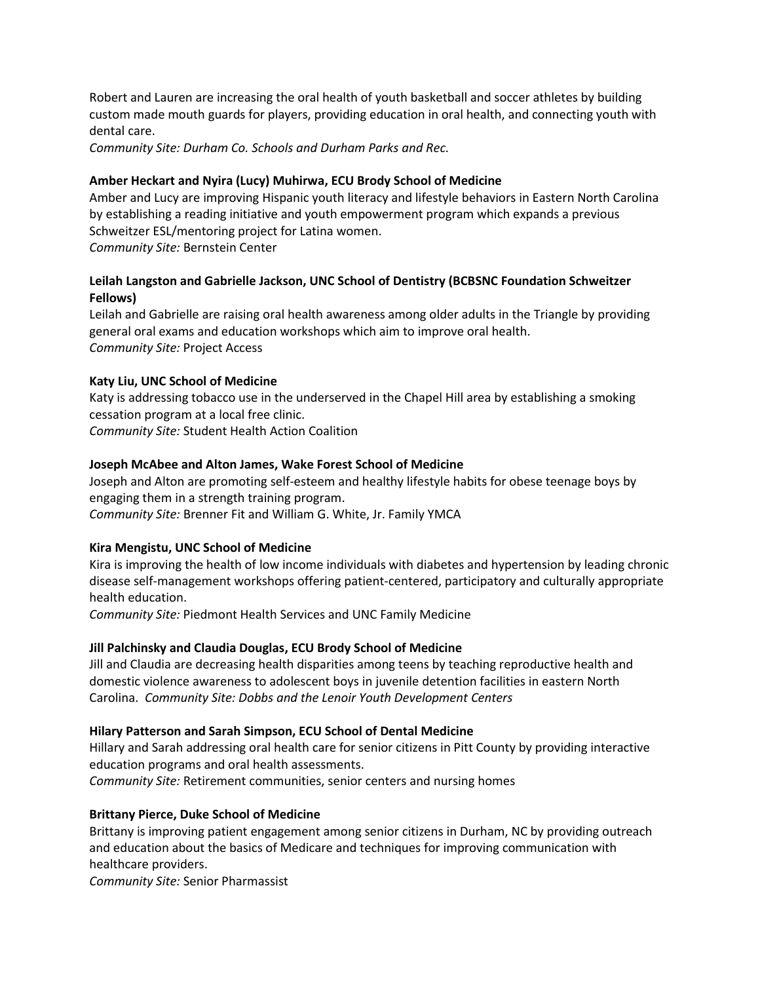Robert and Lauren are increasing the oral health of youth basketball and soccer athletes by building custom made mouth guards for players, providing education in oral health, and connecting youth with dental care.

*Community Site: Durham Co. Schools and Durham Parks and Rec.*

## **Amber Heckart and Nyira (Lucy) Muhirwa, ECU Brody School of Medicine**

Amber and Lucy are improving Hispanic youth literacy and lifestyle behaviors in Eastern North Carolina by establishing a reading initiative and youth empowerment program which expands a previous Schweitzer ESL/mentoring project for Latina women. *Community Site:* Bernstein Center

# **Leilah Langston and Gabrielle Jackson, UNC School of Dentistry (BCBSNC Foundation Schweitzer Fellows)**

Leilah and Gabrielle are raising oral health awareness among older adults in the Triangle by providing general oral exams and education workshops which aim to improve oral health. *Community Site:* Project Access

## **Katy Liu, UNC School of Medicine**

Katy is addressing tobacco use in the underserved in the Chapel Hill area by establishing a smoking cessation program at a local free clinic. *Community Site:* Student Health Action Coalition

# **Joseph McAbee and Alton James, Wake Forest School of Medicine**

Joseph and Alton are promoting self-esteem and healthy lifestyle habits for obese teenage boys by engaging them in a strength training program. *Community Site:* Brenner Fit and William G. White, Jr. Family YMCA

## **Kira Mengistu, UNC School of Medicine**

Kira is improving the health of low income individuals with diabetes and hypertension by leading chronic disease self-management workshops offering patient-centered, participatory and culturally appropriate health education.

*Community Site:* Piedmont Health Services and UNC Family Medicine

## **Jill Palchinsky and Claudia Douglas, ECU Brody School of Medicine**

Jill and Claudia are decreasing health disparities among teens by teaching reproductive health and domestic violence awareness to adolescent boys in juvenile detention facilities in eastern North Carolina. *Community Site: Dobbs and the Lenoir Youth Development Centers*

## **Hilary Patterson and Sarah Simpson, ECU School of Dental Medicine**

Hillary and Sarah addressing oral health care for senior citizens in Pitt County by providing interactive education programs and oral health assessments.

*Community Site:* Retirement communities, senior centers and nursing homes

# **Brittany Pierce, Duke School of Medicine**

Brittany is improving patient engagement among senior citizens in Durham, NC by providing outreach and education about the basics of Medicare and techniques for improving communication with healthcare providers.

*Community Site:* Senior Pharmassist